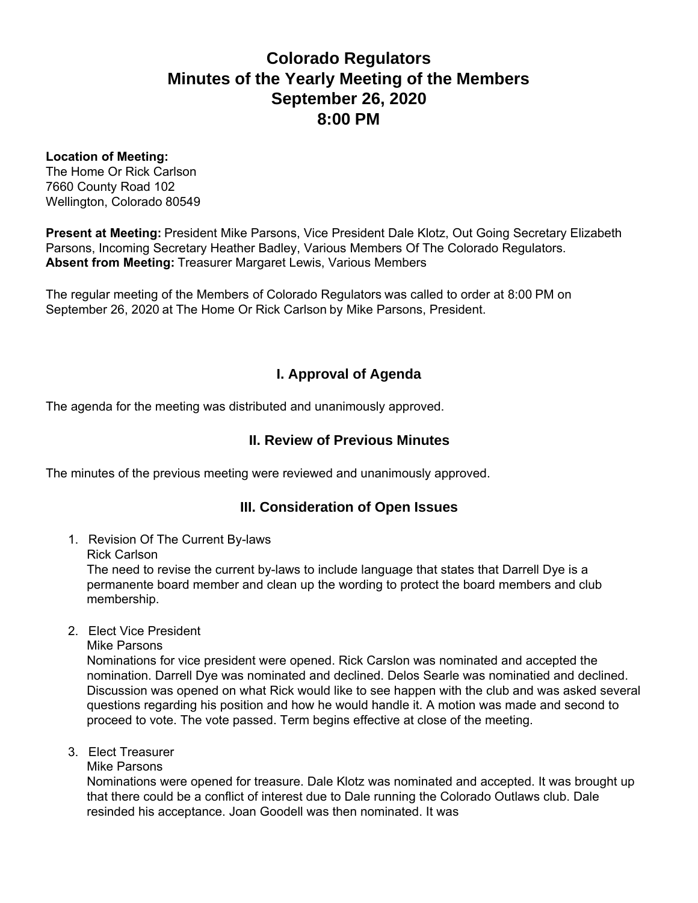# **Colorado Regulators Minutes of the Yearly Meeting of the Members September 26, 2020 8:00 PM**

#### **Location of Meeting:**

The Home Or Rick Carlson 7660 County Road 102 Wellington, Colorado 80549

**Present at Meeting:** President Mike Parsons, Vice President Dale Klotz, Out Going Secretary Elizabeth Parsons, Incoming Secretary Heather Badley, Various Members Of The Colorado Regulators. **Absent from Meeting:** Treasurer Margaret Lewis, Various Members

The regular meeting of the Members of Colorado Regulators was called to order at 8:00 PM on September 26, 2020 at The Home Or Rick Carlson by Mike Parsons, President.

# **I. Approval of Agenda**

The agenda for the meeting was distributed and unanimously approved.

## **II. Review of Previous Minutes**

The minutes of the previous meeting were reviewed and unanimously approved.

## **III. Consideration of Open Issues**

- 1. Revision Of The Current By-laws
	- Rick Carlson

The need to revise the current by-laws to include language that states that Darrell Dye is a permanente board member and clean up the wording to protect the board members and club membership.

- 2. Elect Vice President
	- Mike Parsons

Nominations for vice president were opened. Rick Carslon was nominated and accepted the nomination. Darrell Dye was nominated and declined. Delos Searle was nominatied and declined. Discussion was opened on what Rick would like to see happen with the club and was asked several questions regarding his position and how he would handle it. A motion was made and second to proceed to vote. The vote passed. Term begins effective at close of the meeting.

- 3. Elect Treasurer
	- Mike Parsons

Nominations were opened for treasure. Dale Klotz was nominated and accepted. It was brought up that there could be a conflict of interest due to Dale running the Colorado Outlaws club. Dale resinded his acceptance. Joan Goodell was then nominated. It was